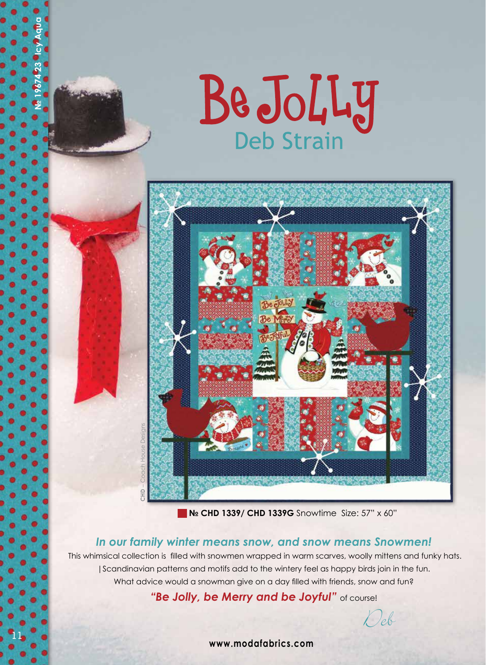



**№ CHD 1339/ CHD 1339G** SnowtimeSize: 57" x 60"

## *In our family winter means snow, and snow means Snowmen!*

 This whimsical collection is filled with snowmen wrapped in warm scarves, woolly mittens and funky hats. |Scandinavian patterns and motifs add to the wintery feel as happy birds join in the fun. What advice would a snowman give on a day filled with friends, snow and fun?

"Be Jolly, be Merry and be Joyful" of course!

Deb

**www.modafabrics.com**

**11**

**№ 19674 23 Icy Aqua**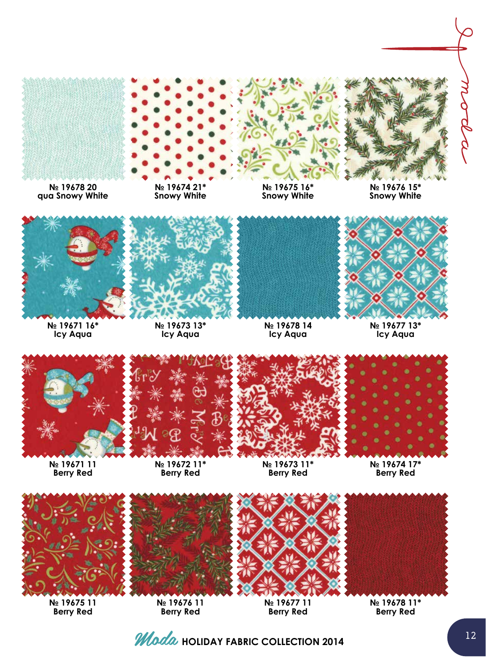

**№ 19678 20 qua Snowy White**

**№ 19671 16\* Icy Aqua**



**№ 19674 21\* Snowy White**

**№ 19673 13\* Icy Aqua**



**№ 19678 14 Icy Aqua**



**№ 19677 13\* Icy Aqua**



**№ 19671 11 Berry Red**



**№ 19672 11\* Berry Red**



**№ 19673 11\* Berry Red**





**№ 19675 11 Berry Red**

**№ 19676 11 Berry Red**

**№ 19677 11 Berry Red**



**№ 19678 11\* Berry Red**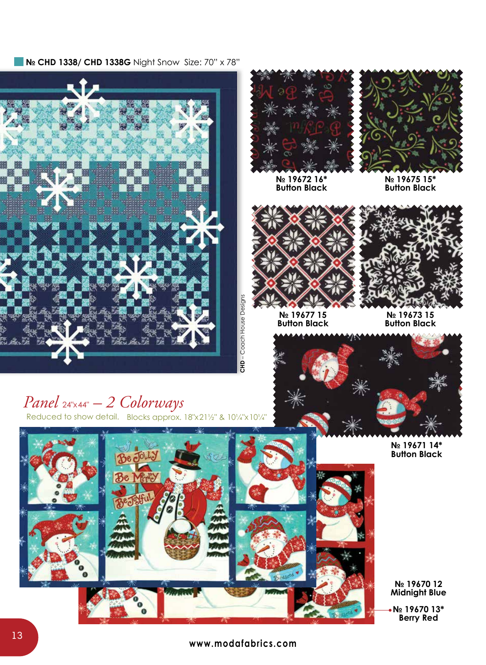■ **N**<sup>2</sup> CHD 1338/ CHD 1338G Night Snow Size: 70" x 78"







**№ 19672 16\* Button Black** **№ 19675 15\* Button Black**



**№ 19677 15 Button Black**



**№ 19673 15 Button Black**



**№ 19671 14\* Button Black**

**№ 19670 12 Midnight Blue**

**№ 19670 13\* Berry Red**

## *Panel* 24"x44" *– 2 Colorways*

Reduced to show detail. Blocks approx. 18"x21½" & 10¼"x10¼"



10 **www.modafabrics.com**